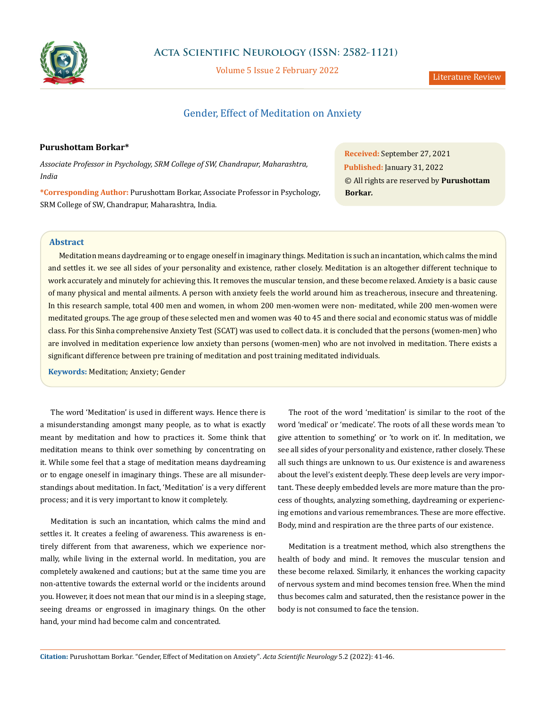

# **Acta Scientific Neurology (ISSN: 2582-1121)**

Volume 5 Issue 2 February 2022

# Gender, Effect of Meditation on Anxiety

# **Purushottam Borkar\***

*Associate Professor in Psychology, SRM College of SW, Chandrapur, Maharashtra, India*

**\*Corresponding Author:** Purushottam Borkar, Associate Professor in Psychology, SRM College of SW, Chandrapur, Maharashtra, India.

**Received:** September 27, 2021 **Published:** January 31, 2022 © All rights are reserved by **Purushottam Borkar***.*

# **Abstract**

Meditation means daydreaming or to engage oneself in imaginary things. Meditation is such an incantation, which calms the mind and settles it. we see all sides of your personality and existence, rather closely. Meditation is an altogether different technique to work accurately and minutely for achieving this. It removes the muscular tension, and these become relaxed. Anxiety is a basic cause of many physical and mental ailments. A person with anxiety feels the world around him as treacherous, insecure and threatening. In this research sample, total 400 men and women, in whom 200 men-women were non- meditated, while 200 men-women were meditated groups. The age group of these selected men and women was 40 to 45 and there social and economic status was of middle class. For this Sinha comprehensive Anxiety Test (SCAT) was used to collect data. it is concluded that the persons (women-men) who are involved in meditation experience low anxiety than persons (women-men) who are not involved in meditation. There exists a significant difference between pre training of meditation and post training meditated individuals.

**Keywords:** Meditation; Anxiety; Gender

The word 'Meditation' is used in different ways. Hence there is a misunderstanding amongst many people, as to what is exactly meant by meditation and how to practices it. Some think that meditation means to think over something by concentrating on it. While some feel that a stage of meditation means daydreaming or to engage oneself in imaginary things. These are all misunderstandings about meditation. In fact, 'Meditation' is a very different process; and it is very important to know it completely.

Meditation is such an incantation, which calms the mind and settles it. It creates a feeling of awareness. This awareness is entirely different from that awareness, which we experience normally, while living in the external world. In meditation, you are completely awakened and cautions; but at the same time you are non-attentive towards the external world or the incidents around you. However, it does not mean that our mind is in a sleeping stage, seeing dreams or engrossed in imaginary things. On the other hand, your mind had become calm and concentrated.

The root of the word 'meditation' is similar to the root of the word 'medical' or 'medicate'. The roots of all these words mean 'to give attention to something' or 'to work on it'. In meditation, we see all sides of your personality and existence, rather closely. These all such things are unknown to us. Our existence is and awareness about the level's existent deeply. These deep levels are very important. These deeply embedded levels are more mature than the process of thoughts, analyzing something, daydreaming or experiencing emotions and various remembrances. These are more effective. Body, mind and respiration are the three parts of our existence.

Meditation is a treatment method, which also strengthens the health of body and mind. It removes the muscular tension and these become relaxed. Similarly, it enhances the working capacity of nervous system and mind becomes tension free. When the mind thus becomes calm and saturated, then the resistance power in the body is not consumed to face the tension.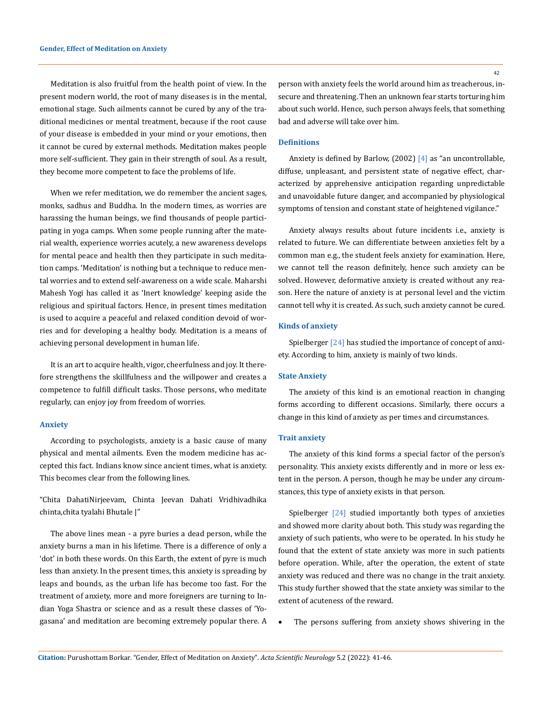Meditation is also fruitful from the health point of view. In the present modern world, the root of many diseases is in the mental, emotional stage. Such ailments cannot be cured by any of the traditional medicines or mental treatment, because if the root cause of your disease is embedded in your mind or your emotions, then it cannot be cured by external methods. Meditation makes people more self-sufficient. They gain in their strength of soul. As a result, they become more competent to face the problems of life.

When we refer meditation, we do remember the ancient sages, monks, sadhus and Buddha. In the modern times, as worries are harassing the human beings, we find thousands of people participating in yoga camps. When some people running after the material wealth, experience worries acutely, a new awareness develops for mental peace and health then they participate in such meditation camps. 'Meditation' is nothing but a technique to reduce mental worries and to extend self-awareness on a wide scale. Maharshi Mahesh Yogi has called it as 'Inert knowledge' keeping aside the religious and spiritual factors. Hence, in present times meditation is used to acquire a peaceful and relaxed condition devoid of worries and for developing a healthy body. Meditation is a means of achieving personal development in human life.

It is an art to acquire health, vigor, cheerfulness and joy. It therefore strengthens the skillfulness and the willpower and creates a competence to fulfill difficult tasks. Those persons, who meditate regularly, can enjoy joy from freedom of worries.

#### **Anxiety**

According to psychologists, anxiety is a basic cause of many physical and mental ailments. Even the modem medicine has accepted this fact. Indians know since ancient times, what is anxiety. This becomes clear from the following lines.

"Chita DahatiNirjeevam, Chinta Jeevan Dahati Vridhivadhika chinta,chita tyalahi Bhutale |"

The above lines mean - a pyre buries a dead person, while the anxiety burns a man in his lifetime. There is a difference of only a 'dot' in both these words. On this Earth, the extent of pyre is much less than anxiety. In the present times, this anxiety is spreading by leaps and bounds, as the urban life has become too fast. For the treatment of anxiety, more and more foreigners are turning to Indian Yoga Shastra or science and as a result these classes of 'Yogasana' and meditation are becoming extremely popular there. A person with anxiety feels the world around him as treacherous, insecure and threatening. Then an unknown fear starts torturing him about such world. Hence, such person always feels, that something bad and adverse will take over him.

# **Definitions**

Anxiety is defined by Barlow, (2002) [4] as "an uncontrollable, diffuse, unpleasant, and persistent state of negative effect, characterized by apprehensive anticipation regarding unpredictable and unavoidable future danger, and accompanied by physiological symptoms of tension and constant state of heightened vigilance."

Anxiety always results about future incidents i.e., anxiety is related to future. We can differentiate between anxieties felt by a common man e.g., the student feels anxiety for examination. Here, we cannot tell the reason definitely, hence such anxiety can be solved. However, deformative anxiety is created without any reason. Here the nature of anxiety is at personal level and the victim cannot tell why it is created. As such, such anxiety cannot be cured.

### **Kinds of anxiety**

Spielberger [24] has studied the importance of concept of anxiety. According to him, anxiety is mainly of two kinds.

#### **State Anxiety**

The anxiety of this kind is an emotional reaction in changing forms according to different occasions. Similarly, there occurs a change in this kind of anxiety as per times and circumstances.

#### **Trait anxiety**

The anxiety of this kind forms a special factor of the person's personality. This anxiety exists differently and in more or less extent in the person. A person, though he may be under any circumstances, this type of anxiety exists in that person.

Spielberger [24] studied importantly both types of anxieties and showed more clarity about both. This study was regarding the anxiety of such patients, who were to be operated. In his study he found that the extent of state anxiety was more in such patients before operation. While, after the operation, the extent of state anxiety was reduced and there was no change in the trait anxiety. This study further showed that the state anxiety was similar to the extent of acuteness of the reward.

The persons suffering from anxiety shows shivering in the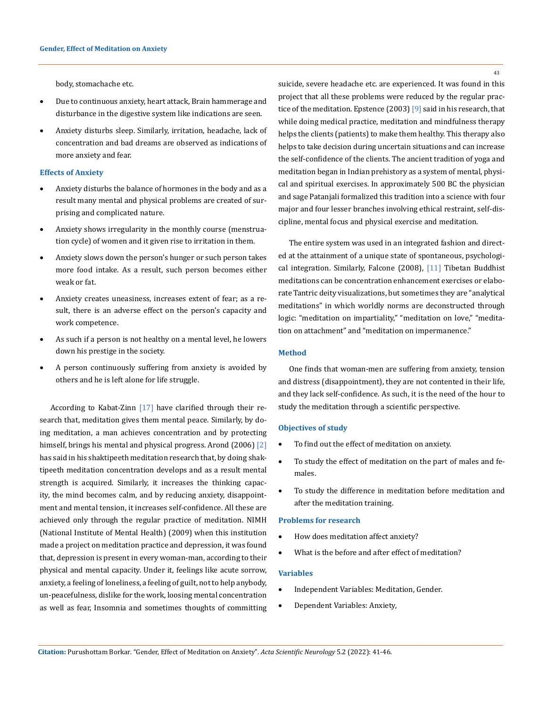body, stomachache etc.

- Due to continuous anxiety, heart attack, Brain hammerage and disturbance in the digestive system like indications are seen.
- Anxiety disturbs sleep. Similarly, irritation, headache, lack of concentration and bad dreams are observed as indications of more anxiety and fear.

### **Effects of Anxiety**

- Anxiety disturbs the balance of hormones in the body and as a result many mental and physical problems are created of surprising and complicated nature.
- Anxiety shows irregularity in the monthly course (menstruation cycle) of women and it given rise to irritation in them.
- Anxiety slows down the person's hunger or such person takes more food intake. As a result, such person becomes either weak or fat.
- • Anxiety creates uneasiness, increases extent of fear; as a result, there is an adverse effect on the person's capacity and work competence.
- As such if a person is not healthy on a mental level, he lowers down his prestige in the society.
- A person continuously suffering from anxiety is avoided by others and he is left alone for life struggle.

According to Kabat-Zinn [17] have clarified through their research that, meditation gives them mental peace. Similarly, by doing meditation, a man achieves concentration and by protecting himself, brings his mental and physical progress. Arond (2006) [2] has said in his shaktipeeth meditation research that, by doing shaktipeeth meditation concentration develops and as a result mental strength is acquired. Similarly, it increases the thinking capacity, the mind becomes calm, and by reducing anxiety, disappointment and mental tension, it increases self-confidence. All these are achieved only through the regular practice of meditation. NIMH (National Institute of Mental Health) (2009) when this institution made a project on meditation practice and depression, it was found that, depression is present in every woman-man, according to their physical and mental capacity. Under it, feelings like acute sorrow, anxiety, a feeling of loneliness, a feeling of guilt, not to help anybody, un-peacefulness, dislike for the work, loosing mental concentration as well as fear, Insomnia and sometimes thoughts of committing

suicide, severe headache etc. are experienced. It was found in this project that all these problems were reduced by the regular practice of the meditation. Epstence (2003) [9] said in his research, that while doing medical practice, meditation and mindfulness therapy helps the clients (patients) to make them healthy. This therapy also helps to take decision during uncertain situations and can increase the self-confidence of the clients. The ancient tradition of yoga and meditation began in Indian prehistory as a system of mental, physical and spiritual exercises. In approximately 500 BC the physician and sage Patanjali formalized this tradition into a science with four major and four lesser branches involving ethical restraint, self-discipline, mental focus and physical exercise and meditation.

The entire system was used in an integrated fashion and directed at the attainment of a unique state of spontaneous, psychological integration. Similarly, Falcone (2008), [11] Tibetan Buddhist meditations can be concentration enhancement exercises or elaborate Tantric deity visualizations, but sometimes they are "analytical meditations" in which worldly norms are deconstructed through logic: "meditation on impartiality," "meditation on love," "meditation on attachment" and "meditation on impermanence."

## **Method**

One finds that woman-men are suffering from anxiety, tension and distress (disappointment), they are not contented in their life, and they lack self-confidence. As such, it is the need of the hour to study the meditation through a scientific perspective.

## **Objectives of study**

- • To find out the effect of meditation on anxiety.
- To study the effect of meditation on the part of males and females.
- To study the difference in meditation before meditation and after the meditation training.

#### **Problems for research**

- How does meditation affect anxiety?
- What is the before and after effect of meditation?

#### **Variables**

- • Independent Variables: Meditation, Gender.
- Dependent Variables: Anxiety,

43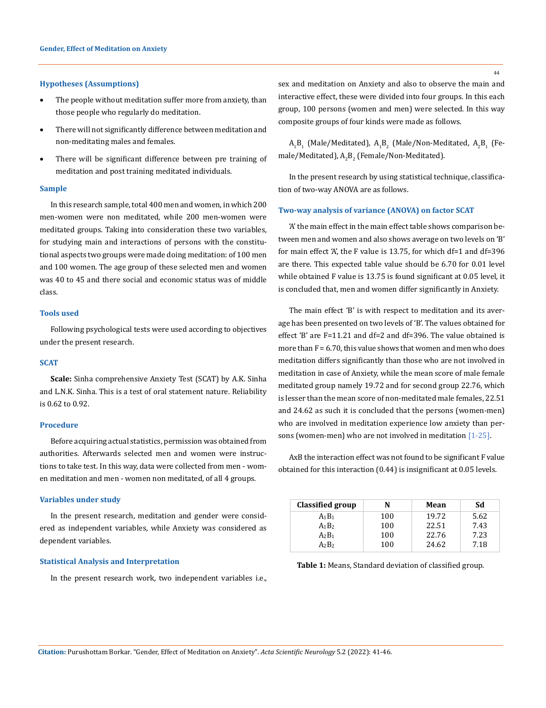### **Hypotheses (Assumptions)**

- The people without meditation suffer more from anxiety, than those people who regularly do meditation.
- There will not significantly difference between meditation and non-meditating males and females.
- There will be significant difference between pre training of meditation and post training meditated individuals.

#### **Sample**

In this research sample, total 400 men and women, in which 200 men-women were non meditated, while 200 men-women were meditated groups. Taking into consideration these two variables, for studying main and interactions of persons with the constitutional aspects two groups were made doing meditation: of 100 men and 100 women. The age group of these selected men and women was 40 to 45 and there social and economic status was of middle class.

## **Tools used**

Following psychological tests were used according to objectives under the present research.

#### **SCAT**

**Scale:** Sinha comprehensive Anxiety Test (SCAT) by A.K. Sinha and L.N.K. Sinha. This is a test of oral statement nature. Reliability is 0.62 to 0.92.

### **Procedure**

Before acquiring actual statistics, permission was obtained from authorities. Afterwards selected men and women were instructions to take test. In this way, data were collected from men - women meditation and men - women non meditated, of all 4 groups.

#### **Variables under study**

In the present research, meditation and gender were considered as independent variables, while Anxiety was considered as dependent variables.

## **Statistical Analysis and Interpretation**

In the present research work, two independent variables i.e.,

sex and meditation on Anxiety and also to observe the main and interactive effect, these were divided into four groups. In this each group, 100 persons (women and men) were selected. In this way composite groups of four kinds were made as follows.

 $\rm A_1B_1$  (Male/Meditated),  $\rm A_1B_2$  (Male/Non-Meditated,  $\rm A_2B_1$  (Female/Meditated),  $\text{A}_{2}\text{B}_{2}$  (Female/Non-Meditated).

In the present research by using statistical technique, classification of two-way ANOVA are as follows.

## **Two-way analysis of variance (ANOVA) on factor SCAT**

'A' the main effect in the main effect table shows comparison between men and women and also shows average on two levels on 'B' for main effect 'A', the F value is 13.75, for which df=1 and df=396 are there. This expected table value should be 6.70 for 0.01 level while obtained F value is 13.75 is found significant at 0.05 level, it is concluded that, men and women differ significantly in Anxiety.

The main effect 'B' is with respect to meditation and its average has been presented on two levels of 'B'. The values obtained for effect 'B' are F=11.21 and df=2 and df=396. The value obtained is more than  $F = 6.70$ , this value shows that women and men who does meditation differs significantly than those who are not involved in meditation in case of Anxiety, while the mean score of male female meditated group namely 19.72 and for second group 22.76, which is lesser than the mean score of non-meditated male females, 22.51 and 24.62 as such it is concluded that the persons (women-men) who are involved in meditation experience low anxiety than persons (women-men) who are not involved in meditation [1-25].

AxB the interaction effect was not found to be significant F value obtained for this interaction (0.44) is insignificant at 0.05 levels.

| Classified group | N   | Mean  | Sd   |
|------------------|-----|-------|------|
| $A_1B_1$         | 100 | 19.72 | 5.62 |
| $A_1B_2$         | 100 | 22.51 | 7.43 |
| $A_2B_1$         | 100 | 22.76 | 7.23 |
| $A_2B_2$         | 100 | 24.62 | 7.18 |

Table 1: Means, Standard deviation of classified group.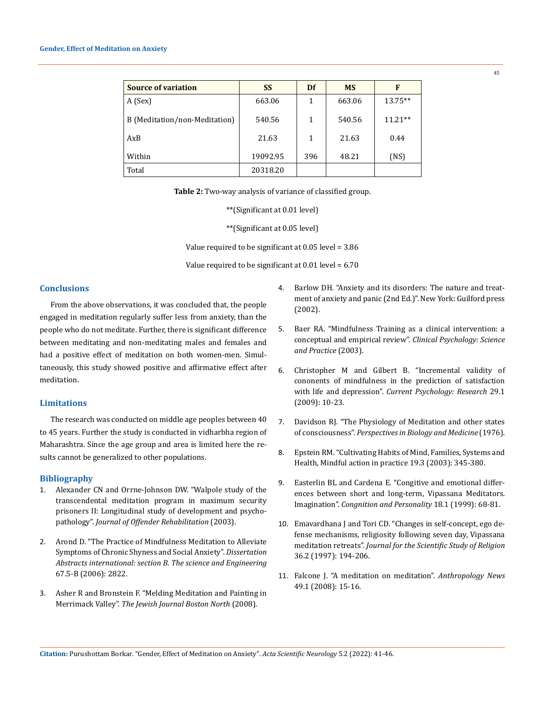#### **Gender, Effect of Meditation on Anxiety**

| <b>Source of variation</b>    | <b>SS</b> | Df  | <b>MS</b> | F         |
|-------------------------------|-----------|-----|-----------|-----------|
| A (Sex)                       | 663.06    | 1   | 663.06    | $13.75**$ |
| B (Meditation/non-Meditation) | 540.56    | 1   | 540.56    | $11.21**$ |
| AxB                           | 21.63     | 1   | 21.63     | 0.44      |
| Within                        | 19092.95  | 396 | 48.21     | (NS)      |
| Total                         | 20318.20  |     |           |           |

**Table 2:** Two-way analysis of variance of classified group.

\*\*(Significant at 0.01 level)

\*\*(Significant at 0.05 level)

Value required to be significant at 0.05 level = 3.86

Value required to be significant at 0.01 level = 6.70

# **Conclusions**

From the above observations, it was concluded that, the people engaged in meditation regularly suffer less from anxiety, than the people who do not meditate. Further, there is significant difference between meditating and non-meditating males and females and had a positive effect of meditation on both women-men. Simultaneously, this study showed positive and affirmative effect after meditation.

# **Limitations**

The research was conducted on middle age peoples between 40 to 45 years. Further the study is conducted in vidharbha region of Maharashtra. Since the age group and area is limited here the results cannot be generalized to other populations.

## **Bibliography**

- 1. [Alexander CN and Orrne-Johnson DW. "Walpole study of the](https://www.tandfonline.com/doi/abs/10.1300/J076v36n01_07)  [transcendental meditation program in maximum security](https://www.tandfonline.com/doi/abs/10.1300/J076v36n01_07)  [prisoners II: Longitudinal study of development and psycho](https://www.tandfonline.com/doi/abs/10.1300/J076v36n01_07)pathology". *[Journal of Offender Rehabilitation](https://www.tandfonline.com/doi/abs/10.1300/J076v36n01_07)* (2003).
- 2. [Arond D. "The Practice of Mindfulness Meditation to Alleviate](https://psycnet.apa.org/record/2006-99022-261)  [Symptoms of Chronic Shyness and Social Anxiety".](https://psycnet.apa.org/record/2006-99022-261) *Dissertation [Abstracts international: section B.](https://psycnet.apa.org/record/2006-99022-261) The science and Engineering* [67.5-B \(2006\): 2822.](https://psycnet.apa.org/record/2006-99022-261)
- 3. Asher R and Bronstein F. "Melding Meditation and Painting in Merrimack Valley". *The Jewish Journal Boston North* (2008).
- 4. [Barlow DH. "Anxiety and its disorders: The nature and treat](https://www.guilford.com/books/Anxiety-and-Its-Disorders/David-Barlow/9781593850289)[ment of anxiety and panic \(2nd Ed.\)". New York: Guilford press](https://www.guilford.com/books/Anxiety-and-Its-Disorders/David-Barlow/9781593850289)  [\(2002\).](https://www.guilford.com/books/Anxiety-and-Its-Disorders/David-Barlow/9781593850289)
- 5. [Baer RA. "Mindfulness Training as a clinical intervention: a](https://onlinelibrary.wiley.com/doi/abs/10.1093/clipsy.bpg015)  [conceptual and empirical review".](https://onlinelibrary.wiley.com/doi/abs/10.1093/clipsy.bpg015) *Clinical Psychology: Science [and Practice](https://onlinelibrary.wiley.com/doi/abs/10.1093/clipsy.bpg015)* (2003).
- 6. [Christopher M and Gilbert B. "Incremental validity of](https://www.researchgate.net/publication/225632746_Incremental_Validity_of_Components_of_Mindfulness_in_the_Prediction_of_Satisfaction_with_Life_and_Depression)  [cononents of mindfulness in the prediction of satisfaction](https://www.researchgate.net/publication/225632746_Incremental_Validity_of_Components_of_Mindfulness_in_the_Prediction_of_Satisfaction_with_Life_and_Depression)  with life and depression". *[Current Psychology: Research](https://www.researchgate.net/publication/225632746_Incremental_Validity_of_Components_of_Mindfulness_in_the_Prediction_of_Satisfaction_with_Life_and_Depression)* 29.1 [\(2009\): 10-23.](https://www.researchgate.net/publication/225632746_Incremental_Validity_of_Components_of_Mindfulness_in_the_Prediction_of_Satisfaction_with_Life_and_Depression)
- 7. [Davidson RJ. "The Physiology of Meditation and other states](https://muse.jhu.edu/article/405585/pdf)  of consciousness". *[Perspectives in Biology and Medicine](https://muse.jhu.edu/article/405585/pdf)* (1976).
- 8. [Epstein RM. "Cultivating Habits of Mind, Families, Systems and](https://muse.jhu.edu/article/405585/pdf)  [Health, Mindful action in practice 19.3 \(2003\): 345-380.](https://muse.jhu.edu/article/405585/pdf)
- 9. [Easterlin BL and Cardena E. "Congitive and emotional differ](https://www.researchgate.net/publication/276907227_Cognitive_and_Emotional_Differences_Between_Short-_and_Long-Term_Vipassana_Meditators)[ences between short and long-term, Vipassana Meditators.](https://www.researchgate.net/publication/276907227_Cognitive_and_Emotional_Differences_Between_Short-_and_Long-Term_Vipassana_Meditators)  Imagination". *[Congnition and Personality](https://www.researchgate.net/publication/276907227_Cognitive_and_Emotional_Differences_Between_Short-_and_Long-Term_Vipassana_Meditators)* 18.1 (1999): 68-81.
- 10. [Emavardhana J and Tori CD. "Changes in self-concept, ego de](https://www.jstor.org/stable/1387552)[fense mechanisms, religiosity following seven day, Vipassana](https://www.jstor.org/stable/1387552)  meditation retreats". *[Journal for the Scientific Study of Religion](https://www.jstor.org/stable/1387552)* [36.2 \(1997\): 194-206.](https://www.jstor.org/stable/1387552)
- 11. Falcone J. "A meditation on meditation". *Anthropology News* 49.1 (2008): 15-16.